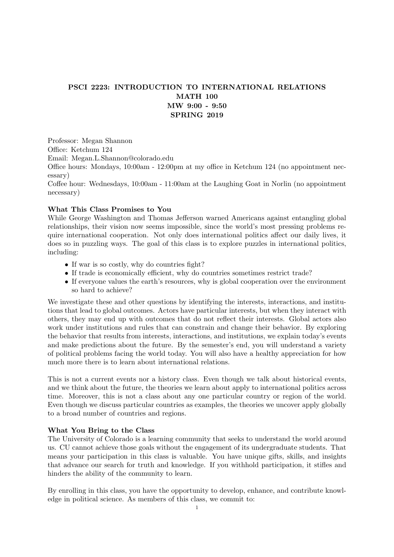# PSCI 2223: INTRODUCTION TO INTERNATIONAL RELATIONS MATH 100 MW 9:00 - 9:50 SPRING 2019

Professor: Megan Shannon

Office: Ketchum 124

Email: Megan.L.Shannon@colorado.edu

Office hours: Mondays, 10:00am - 12:00pm at my office in Ketchum 124 (no appointment necessary)

Coffee hour: Wednesdays, 10:00am - 11:00am at the Laughing Goat in Norlin (no appointment necessary)

## What This Class Promises to You

While George Washington and Thomas Jefferson warned Americans against entangling global relationships, their vision now seems impossible, since the world's most pressing problems require international cooperation. Not only does international politics affect our daily lives, it does so in puzzling ways. The goal of this class is to explore puzzles in international politics, including:

- If war is so costly, why do countries fight?
- If trade is economically efficient, why do countries sometimes restrict trade?
- If everyone values the earth's resources, why is global cooperation over the environment so hard to achieve?

We investigate these and other questions by identifying the interests, interactions, and institutions that lead to global outcomes. Actors have particular interests, but when they interact with others, they may end up with outcomes that do not reflect their interests. Global actors also work under institutions and rules that can constrain and change their behavior. By exploring the behavior that results from interests, interactions, and institutions, we explain today's events and make predictions about the future. By the semester's end, you will understand a variety of political problems facing the world today. You will also have a healthy appreciation for how much more there is to learn about international relations.

This is not a current events nor a history class. Even though we talk about historical events, and we think about the future, the theories we learn about apply to international politics across time. Moreover, this is not a class about any one particular country or region of the world. Even though we discuss particular countries as examples, the theories we uncover apply globally to a broad number of countries and regions.

## What You Bring to the Class

The University of Colorado is a learning community that seeks to understand the world around us. CU cannot achieve those goals without the engagement of its undergraduate students. That means your participation in this class is valuable. You have unique gifts, skills, and insights that advance our search for truth and knowledge. If you withhold participation, it stifles and hinders the ability of the community to learn.

By enrolling in this class, you have the opportunity to develop, enhance, and contribute knowledge in political science. As members of this class, we commit to: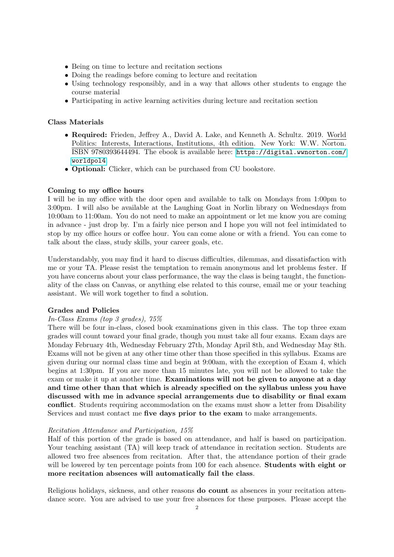- Being on time to lecture and recitation sections
- Doing the readings before coming to lecture and recitation
- Using technology responsibly, and in a way that allows other students to engage the course material
- Participating in active learning activities during lecture and recitation section

## Class Materials

- Required: Frieden, Jeffrey A., David A. Lake, and Kenneth A. Schultz. 2019. World Politics: Interests, Interactions, Institutions, 4th edition. New York: W.W. Norton. ISBN 9780393644494. The ebook is available here: [https://digital.wwnorton.com/](https://digital.wwnorton.com/worldpol4) [worldpol4](https://digital.wwnorton.com/worldpol4).
- Optional: Clicker, which can be purchased from CU bookstore.

## Coming to my office hours

I will be in my office with the door open and available to talk on Mondays from 1:00pm to 3:00pm. I will also be available at the Laughing Goat in Norlin library on Wednesdays from 10:00am to 11:00am. You do not need to make an appointment or let me know you are coming in advance - just drop by. I'm a fairly nice person and I hope you will not feel intimidated to stop by my office hours or coffee hour. You can come alone or with a friend. You can come to talk about the class, study skills, your career goals, etc.

Understandably, you may find it hard to discuss difficulties, dilemmas, and dissatisfaction with me or your TA. Please resist the temptation to remain anonymous and let problems fester. If you have concerns about your class performance, the way the class is being taught, the functionality of the class on Canvas, or anything else related to this course, email me or your teaching assistant. We will work together to find a solution.

### Grades and Policies

### In-Class Exams (top 3 grades), 75%

There will be four in-class, closed book examinations given in this class. The top three exam grades will count toward your final grade, though you must take all four exams. Exam days are Monday February 4th, Wednesday February 27th, Monday April 8th, and Wednesday May 8th. Exams will not be given at any other time other than those specified in this syllabus. Exams are given during our normal class time and begin at 9:00am, with the exception of Exam 4, which begins at 1:30pm. If you are more than 15 minutes late, you will not be allowed to take the exam or make it up at another time. Examinations will not be given to anyone at a day and time other than that which is already specified on the syllabus unless you have discussed with me in advance special arrangements due to disability or final exam conflict. Students requiring accommodation on the exams must show a letter from Disability Services and must contact me five days prior to the exam to make arrangements.

### Recitation Attendance and Participation, 15%

Half of this portion of the grade is based on attendance, and half is based on participation. Your teaching assistant (TA) will keep track of attendance in recitation section. Students are allowed two free absences from recitation. After that, the attendance portion of their grade will be lowered by ten percentage points from 100 for each absence. **Students with eight or** more recitation absences will automatically fail the class.

Religious holidays, sickness, and other reasons do count as absences in your recitation attendance score. You are advised to use your free absences for these purposes. Please accept the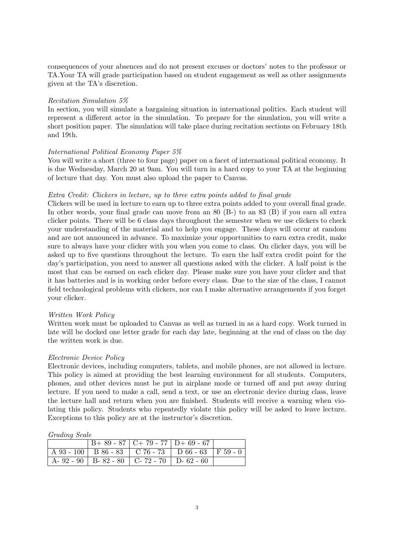consequences of your absences and do not present excuses or doctors' notes to the professor or TA.Your TA will grade participation based on student engagement as well as other assignments given at the TA's discretion.

#### Recitation Simulation 5%

In section, you will simulate a bargaining situation in international politics. Each student will represent a different actor in the simulation. To prepare for the simulation, you will write a short position paper. The simulation will take place during recitation sections on February 18th and 19th.

#### International Political Economy Paper 5%

You will write a short (three to four page) paper on a facet of international political economy. It is due Wednesday, March 20 at 9am. You will turn in a hard copy to your TA at the beginning of lecture that day. You must also upload the paper to Canvas.

#### Extra Credit: Clickers in lecture, up to three extra points added to final grade

Clickers will be used in lecture to earn up to three extra points added to your overall final grade. In other words, your final grade can move from an 80 (B-) to an 83 (B) if you earn all extra clicker points. There will be 6 class days throughout the semester when we use clickers to check your understanding of the material and to help you engage. These days will occur at random and are not announced in advance. To maximize your opportunities to earn extra credit, make sure to always have your clicker with you when you come to class. On clicker days, you will be asked up to five questions throughout the lecture. To earn the half extra credit point for the day's participation, you need to answer all questions asked with the clicker. A half point is the most that can be earned on each clicker day. Please make sure you have your clicker and that it has batteries and is in working order before every class. Due to the size of the class, I cannot field technological problems with clickers, nor can I make alternative arrangements if you forget your clicker.

#### Written Work Policy

Written work must be uploaded to Canvas as well as turned in as a hard copy. Work turned in late will be docked one letter grade for each day late, beginning at the end of class on the day the written work is due.

#### Electronic Device Policy

Electronic devices, including computers, tablets, and mobile phones, are not allowed in lecture. This policy is aimed at providing the best learning environment for all students. Computers, phones, and other devices must be put in airplane mode or turned off and put away during lecture. If you need to make a call, send a text, or use an electronic device during class, leave the lecture hall and return when you are finished. Students will receive a warning when violating this policy. Students who repeatedly violate this policy will be asked to leave lecture. Exceptions to this policy are at the instructor's discretion.

|                                                   | $B+89-87$   C+79 - 77   D+69 - 67 |                                                           |  |
|---------------------------------------------------|-----------------------------------|-----------------------------------------------------------|--|
|                                                   |                                   | A 93 - 100   B 86 - 83   C 76 - 73   D 66 - 63   F 59 - 0 |  |
| A- 92 - 90   B- 82 - 80   C- 72 - 70   D- 62 - 60 |                                   |                                                           |  |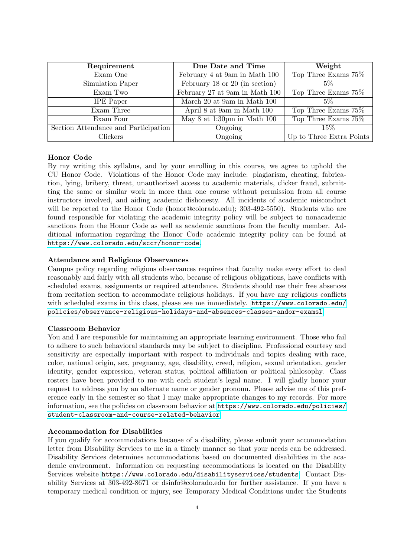| Requirement                          | Due Date and Time              | Weight                   |  |
|--------------------------------------|--------------------------------|--------------------------|--|
|                                      |                                |                          |  |
| Exam One                             | February 4 at 9am in Math 100  | Top Three Exams 75%      |  |
| Simulation Paper                     | February 18 or 20 (in section) | $5\%$                    |  |
| Exam Two                             | February 27 at 9am in Math 100 | Top Three Exams 75%      |  |
| <b>IPE</b> Paper                     | March 20 at 9am in Math 100    | $5\%$                    |  |
| Exam Three                           | April 8 at 9am in Math 100     | Top Three Exams 75%      |  |
| Exam Four                            | May 8 at 1:30pm in Math 100    | Top Three Exams 75%      |  |
| Section Attendance and Participation | Ongoing                        | $15\%$                   |  |
| Clickers                             | Ongoing                        | Up to Three Extra Points |  |

### Honor Code

By my writing this syllabus, and by your enrolling in this course, we agree to uphold the CU Honor Code. Violations of the Honor Code may include: plagiarism, cheating, fabrication, lying, bribery, threat, unauthorized access to academic materials, clicker fraud, submitting the same or similar work in more than one course without permission from all course instructors involved, and aiding academic dishonesty. All incidents of academic misconduct will be reported to the Honor Code (honor@colorado.edu); 303-492-5550). Students who are found responsible for violating the academic integrity policy will be subject to nonacademic sanctions from the Honor Code as well as academic sanctions from the faculty member. Additional information regarding the Honor Code academic integrity policy can be found at <https://www.colorado.edu/sccr/honor-code>.

### Attendance and Religious Observances

Campus policy regarding religious observances requires that faculty make every effort to deal reasonably and fairly with all students who, because of religious obligations, have conflicts with scheduled exams, assignments or required attendance. Students should use their free absences from recitation section to accommodate religious holidays. If you have any religious conflicts with scheduled exams in this class, please see me immediately. [https://www.colorado.edu/](https://www.colorado.edu/policies/observance-religious-holidays-and-absences-classes-andor-examsl) [policies/observance-religious-holidays-and-absences-classes-andor-examsl](https://www.colorado.edu/policies/observance-religious-holidays-and-absences-classes-andor-examsl).

#### Classroom Behavior

You and I are responsible for maintaining an appropriate learning environment. Those who fail to adhere to such behavioral standards may be subject to discipline. Professional courtesy and sensitivity are especially important with respect to individuals and topics dealing with race, color, national origin, sex, pregnancy, age, disability, creed, religion, sexual orientation, gender identity, gender expression, veteran status, political affiliation or political philosophy. Class rosters have been provided to me with each student's legal name. I will gladly honor your request to address you by an alternate name or gender pronoun. Please advise me of this preference early in the semester so that I may make appropriate changes to my records. For more information, see the policies on classroom behavior at [https://www.colorado.edu/policies/](https://www.colorado.edu/policies/student-classroom-and-course-related-behavior) [student-classroom-and-course-related-behavior](https://www.colorado.edu/policies/student-classroom-and-course-related-behavior).

#### Accommodation for Disabilities

If you qualify for accommodations because of a disability, please submit your accommodation letter from Disability Services to me in a timely manner so that your needs can be addressed. Disability Services determines accommodations based on documented disabilities in the academic environment. Information on requesting accommodations is located on the Disability Services website <https://www.colorado.edu/disabilityservices/students>. Contact Disability Services at 303-492-8671 or dsinfo@colorado.edu for further assistance. If you have a temporary medical condition or injury, see Temporary Medical Conditions under the Students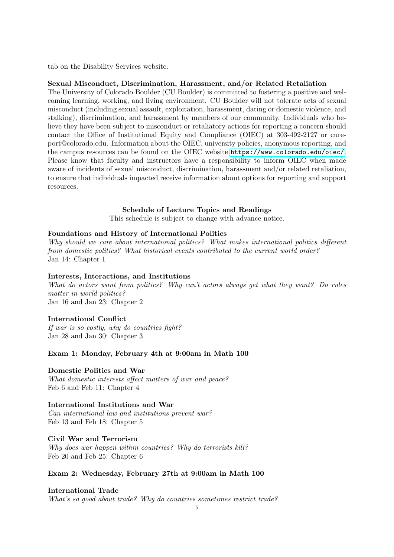tab on the Disability Services website.

#### Sexual Misconduct, Discrimination, Harassment, and/or Related Retaliation

The University of Colorado Boulder (CU Boulder) is committed to fostering a positive and welcoming learning, working, and living environment. CU Boulder will not tolerate acts of sexual misconduct (including sexual assault, exploitation, harassment, dating or domestic violence, and stalking), discrimination, and harassment by members of our community. Individuals who believe they have been subject to misconduct or retaliatory actions for reporting a concern should contact the Office of Institutional Equity and Compliance (OIEC) at 303-492-2127 or cureport@colorado.edu. Information about the OIEC, university policies, anonymous reporting, and the campus resources can be found on the OIEC website <https://www.colorado.edu/oiec/>. Please know that faculty and instructors have a responsibility to inform OIEC when made aware of incidents of sexual misconduct, discrimination, harassment and/or related retaliation, to ensure that individuals impacted receive information about options for reporting and support resources.

#### Schedule of Lecture Topics and Readings

This schedule is subject to change with advance notice.

#### Foundations and History of International Politics

Why should we care about international politics? What makes international politics different from domestic politics? What historical events contributed to the current world order? Jan 14: Chapter 1

#### Interests, Interactions, and Institutions

What do actors want from politics? Why can't actors always get what they want? Do rules matter in world politics? Jan 16 and Jan 23: Chapter 2

#### International Conflict

If war is so costly, why do countries fight? Jan 28 and Jan 30: Chapter 3

#### Exam 1: Monday, February 4th at 9:00am in Math 100

Domestic Politics and War What domestic interests affect matters of war and peace? Feb 6 and Feb 11: Chapter 4

#### International Institutions and War

Can international law and institutions prevent war? Feb 13 and Feb 18: Chapter 5

#### Civil War and Terrorism

Why does war happen within countries? Why do terrorists kill? Feb 20 and Feb 25: Chapter 6

### Exam 2: Wednesday, February 27th at 9:00am in Math 100

#### International Trade

What's so good about trade? Why do countries sometimes restrict trade?